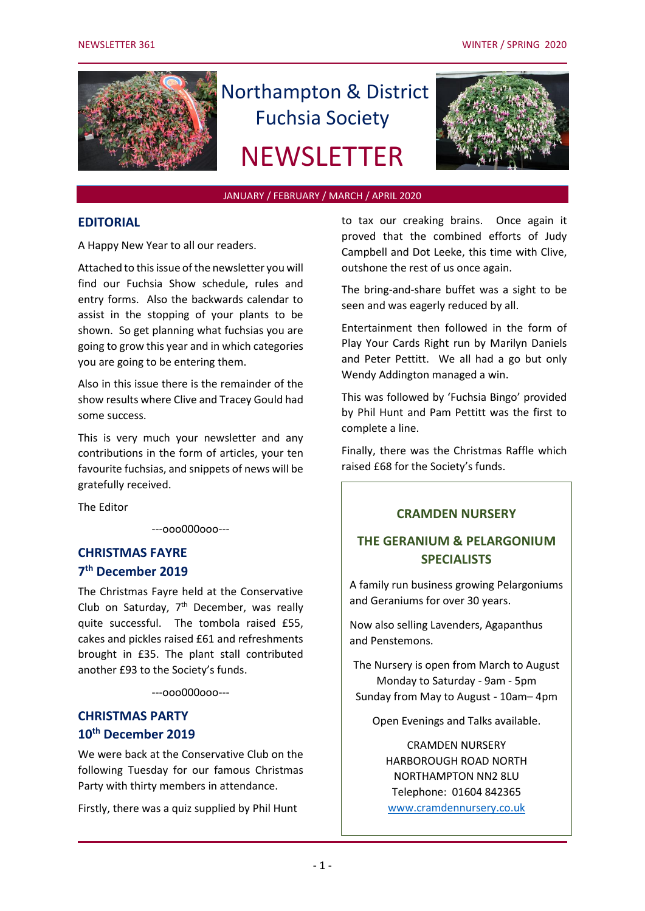

# Northampton & District Fuchsia Society

## **NEWSLETTER**



#### JANUARY / FEBRUARY / MARCH / APRIL 2020

#### **EDITORIAL**

A Happy New Year to all our readers.

Attached to this issue of the newsletter you will find our Fuchsia Show schedule, rules and entry forms. Also the backwards calendar to assist in the stopping of your plants to be shown. So get planning what fuchsias you are going to grow this year and in which categories you are going to be entering them.

Also in this issue there is the remainder of the show results where Clive and Tracey Gould had some success.

This is very much your newsletter and any contributions in the form of articles, your ten favourite fuchsias, and snippets of news will be gratefully received.

The Editor

---ooo000ooo---

## **CHRISTMAS FAYRE 7 th December 2019**

The Christmas Fayre held at the Conservative Club on Saturday,  $7<sup>th</sup>$  December, was really quite successful. The tombola raised £55, cakes and pickles raised £61 and refreshments brought in £35. The plant stall contributed another £93 to the Society's funds.

---ooo000ooo---

## **CHRISTMAS PARTY 10th December 2019**

We were back at the Conservative Club on the following Tuesday for our famous Christmas Party with thirty members in attendance.

Firstly, there was a quiz supplied by Phil Hunt

to tax our creaking brains. Once again it proved that the combined efforts of Judy Campbell and Dot Leeke, this time with Clive, outshone the rest of us once again.

The bring-and-share buffet was a sight to be seen and was eagerly reduced by all.

Entertainment then followed in the form of Play Your Cards Right run by Marilyn Daniels and Peter Pettitt. We all had a go but only Wendy Addington managed a win.

This was followed by 'Fuchsia Bingo' provided by Phil Hunt and Pam Pettitt was the first to complete a line.

Finally, there was the Christmas Raffle which raised £68 for the Society's funds.

#### **CRAMDEN NURSERY**

## **THE GERANIUM & PELARGONIUM SPECIALISTS**

A family run business growing Pelargoniums and Geraniums for over 30 years.

Now also selling Lavenders, Agapanthus and Penstemons.

The Nursery is open from March to August Monday to Saturday - 9am - 5pm Sunday from May to August - 10am– 4pm

Open Evenings and Talks available.

CRAMDEN NURSERY HARBOROUGH ROAD NORTH NORTHAMPTON NN2 8LU Telephone: 01604 842365 [www.cramdennursery.co.uk](http://www.cramdennursery.co.uk/)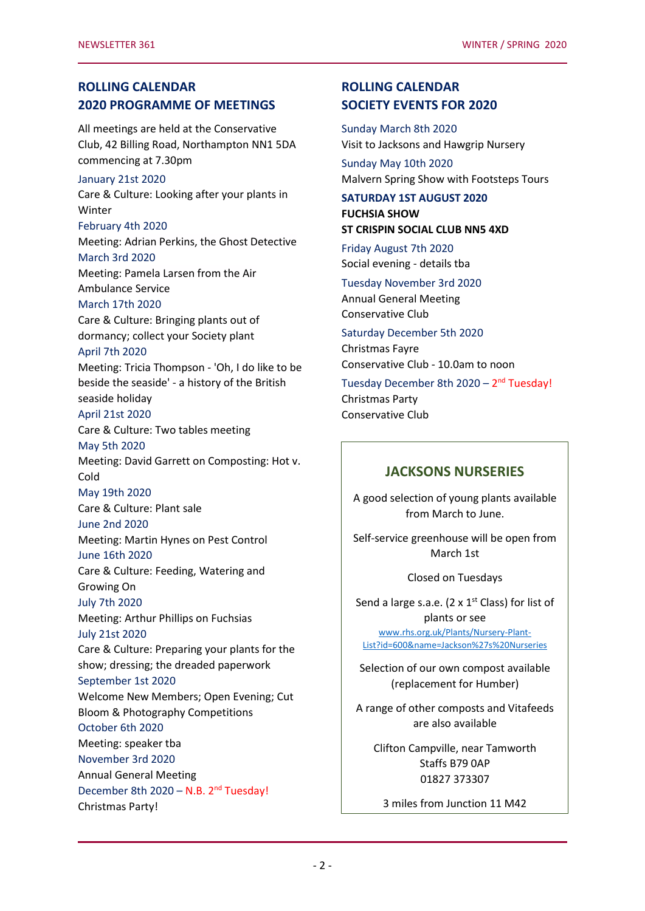## **ROLLING CALENDAR 2020 PROGRAMME OF MEETINGS**

All meetings are held at the Conservative Club, 42 Billing Road, Northampton NN1 5DA commencing at 7.30pm

#### January 21st 2020

Care & Culture: Looking after your plants in Winter February 4th 2020 Meeting: Adrian Perkins, the Ghost Detective March 3rd 2020 Meeting: Pamela Larsen from the Air Ambulance Service March 17th 2020 Care & Culture: Bringing plants out of dormancy; collect your Society plant April 7th 2020 Meeting: Tricia Thompson - 'Oh, I do like to be beside the seaside' - a history of the British seaside holiday April 21st 2020 Care & Culture: Two tables meeting May 5th 2020 Meeting: David Garrett on Composting: Hot v. Cold May 19th 2020 Care & Culture: Plant sale June 2nd 2020 Meeting: Martin Hynes on Pest Control June 16th 2020 Care & Culture: Feeding, Watering and Growing On July 7th 2020 Meeting: Arthur Phillips on Fuchsias July 21st 2020 Care & Culture: Preparing your plants for the show; dressing; the dreaded paperwork September 1st 2020 Welcome New Members; Open Evening; Cut Bloom & Photography Competitions October 6th 2020 Meeting: speaker tba November 3rd 2020 Annual General Meeting December 8th 2020 - N.B. 2<sup>nd</sup> Tuesday! Christmas Party!

## **ROLLING CALENDAR SOCIETY EVENTS FOR 2020**

Sunday March 8th 2020 Visit to Jacksons and Hawgrip Nursery

Sunday May 10th 2020 Malvern Spring Show with Footsteps Tours

#### **SATURDAY 1ST AUGUST 2020 FUCHSIA SHOW ST CRISPIN SOCIAL CLUB NN5 4XD**

Friday August 7th 2020 Social evening - details tba

Tuesday November 3rd 2020 Annual General Meeting Conservative Club

Saturday December 5th 2020 Christmas Fayre Conservative Club - 10.0am to noon

Tuesday December 8th 2020 - 2<sup>nd</sup> Tuesday! Christmas Party Conservative Club

## **JACKSONS NURSERIES**

A good selection of young plants available from March to June.

Self-service greenhouse will be open from March 1st

Closed on Tuesdays

Send a large s.a.e. (2  $\times$  1<sup>st</sup> Class) for list of plants or see [www.rhs.org.uk/Plants/Nursery-Plant-](file:///C:/Users/Peter/Documents/NDFS/www.rhs.org.uk/Plants/Nursery-Plant-List%3fid=600&name=Jackson)[List?id=600&name=Jackson%27s%20Nurseries](file:///C:/Users/Peter/Documents/NDFS/www.rhs.org.uk/Plants/Nursery-Plant-List%3fid=600&name=Jackson)

Selection of our own compost available (replacement for Humber)

A range of other composts and Vitafeeds are also available

Clifton Campville, near Tamworth Staffs B79 0AP 01827 373307

3 miles from Junction 11 M42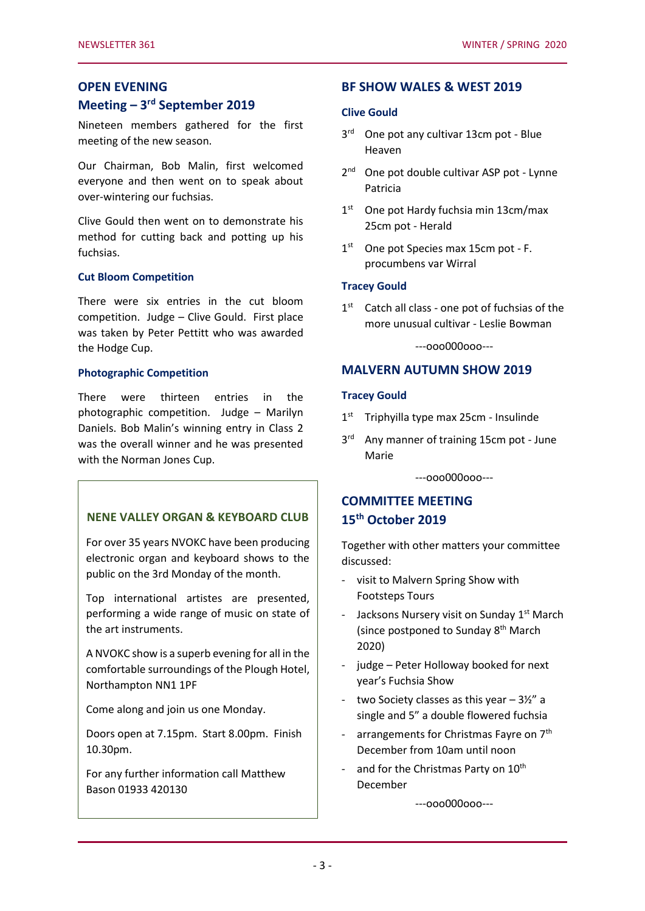## **OPEN EVENING**

## **Meeting – 3 rd September 2019**

Nineteen members gathered for the first meeting of the new season.

Our Chairman, Bob Malin, first welcomed everyone and then went on to speak about over-wintering our fuchsias.

Clive Gould then went on to demonstrate his method for cutting back and potting up his fuchsias.

#### **Cut Bloom Competition**

There were six entries in the cut bloom competition. Judge – Clive Gould. First place was taken by Peter Pettitt who was awarded the Hodge Cup.

#### **Photographic Competition**

There were thirteen entries in the photographic competition. Judge – Marilyn Daniels. Bob Malin's winning entry in Class 2 was the overall winner and he was presented with the Norman Jones Cup.

#### ---ooo000ooo--- **NENE VALLEY ORGAN & KEYBOARD CLUB**

For over 35 years NVOKC have been producing electronic organ and keyboard shows to the public on the 3rd Monday of the month.

Top international artistes are presented, performing a wide range of music on state of the art instruments.

A NVOKC show is a superb evening for all in the comfortable surroundings of the Plough Hotel, Northampton NN1 1PF

Come along and join us one Monday.

Doors open at 7.15pm. Start 8.00pm. Finish 10.30pm.

For any further information call Matthew Bason 01933 420130

#### **BF SHOW WALES & WEST 2019**

#### **Clive Gould**

- 3rd One pot any cultivar 13cm pot Blue Heaven
- 2<sup>nd</sup> One pot double cultivar ASP pot Lynne Patricia
- 1<sup>st</sup> One pot Hardy fuchsia min 13cm/max 25cm pot - Herald
- 1<sup>st</sup> One pot Species max 15cm pot F. procumbens var Wirral

#### **Tracey Gould**

1<sup>st</sup> Catch all class - one pot of fuchsias of the more unusual cultivar - Leslie Bowman

---ooo000ooo---

#### **MALVERN AUTUMN SHOW 2019**

#### **Tracey Gould**

- $1<sup>st</sup>$ Triphyilla type max 25cm - Insulinde
- $3<sup>rd</sup>$ Any manner of training 15cm pot - June Marie

---ooo000ooo---

## **COMMITTEE MEETING 15th October 2019**

Together with other matters your committee discussed:

- visit to Malvern Spring Show with Footsteps Tours
- Jacksons Nursery visit on Sunday 1<sup>st</sup> March (since postponed to Sunday 8<sup>th</sup> March 2020)
- judge Peter Holloway booked for next year's Fuchsia Show
- two Society classes as this year  $-3\frac{1}{2}$ " a single and 5" a double flowered fuchsia
- arrangements for Christmas Fayre on 7<sup>th</sup> December from 10am until noon
- and for the Christmas Party on 10<sup>th</sup> December

---ooo000ooo---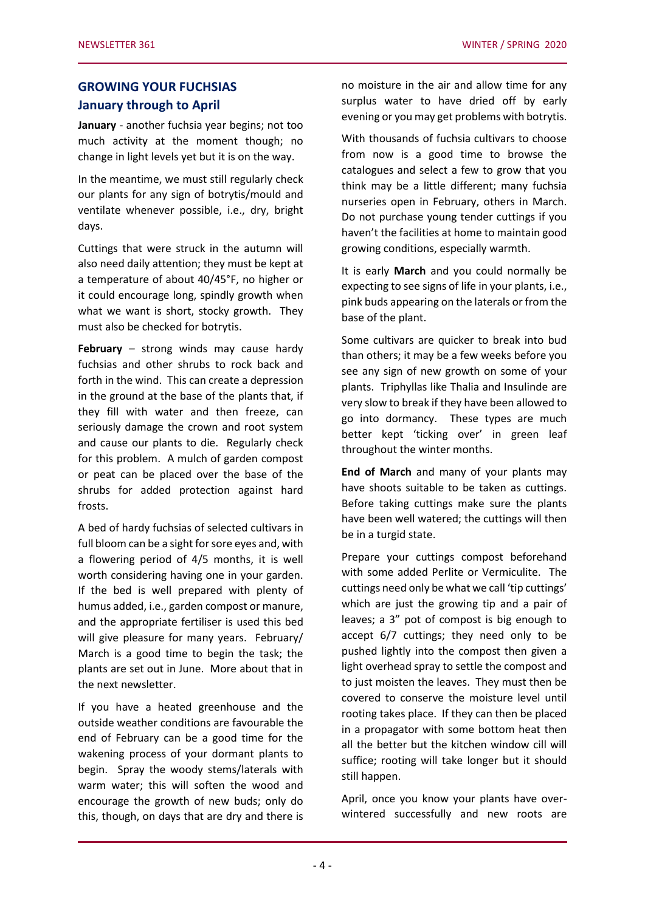## **GROWING YOUR FUCHSIAS January through to April**

**January** - another fuchsia year begins; not too much activity at the moment though; no change in light levels yet but it is on the way.

In the meantime, we must still regularly check our plants for any sign of botrytis/mould and ventilate whenever possible, i.e., dry, bright days.

Cuttings that were struck in the autumn will also need daily attention; they must be kept at a temperature of about 40/45°F, no higher or it could encourage long, spindly growth when what we want is short, stocky growth. They must also be checked for botrytis.

**February** – strong winds may cause hardy fuchsias and other shrubs to rock back and forth in the wind. This can create a depression in the ground at the base of the plants that, if they fill with water and then freeze, can seriously damage the crown and root system and cause our plants to die. Regularly check for this problem. A mulch of garden compost or peat can be placed over the base of the shrubs for added protection against hard frosts.

A bed of hardy fuchsias of selected cultivars in full bloom can be a sight for sore eyes and, with a flowering period of 4/5 months, it is well worth considering having one in your garden. If the bed is well prepared with plenty of humus added, i.e., garden compost or manure, and the appropriate fertiliser is used this bed will give pleasure for many years. February/ March is a good time to begin the task; the plants are set out in June. More about that in the next newsletter.

If you have a heated greenhouse and the outside weather conditions are favourable the end of February can be a good time for the wakening process of your dormant plants to begin. Spray the woody stems/laterals with warm water; this will soften the wood and encourage the growth of new buds; only do this, though, on days that are dry and there is no moisture in the air and allow time for any surplus water to have dried off by early evening or you may get problems with botrytis.

With thousands of fuchsia cultivars to choose from now is a good time to browse the catalogues and select a few to grow that you think may be a little different; many fuchsia nurseries open in February, others in March. Do not purchase young tender cuttings if you haven't the facilities at home to maintain good growing conditions, especially warmth.

It is early **March** and you could normally be expecting to see signs of life in your plants, i.e., pink buds appearing on the laterals or from the base of the plant.

Some cultivars are quicker to break into bud than others; it may be a few weeks before you see any sign of new growth on some of your plants. Triphyllas like Thalia and Insulinde are very slow to break if they have been allowed to go into dormancy. These types are much better kept 'ticking over' in green leaf throughout the winter months.

**End of March** and many of your plants may have shoots suitable to be taken as cuttings. Before taking cuttings make sure the plants have been well watered; the cuttings will then be in a turgid state.

Prepare your cuttings compost beforehand with some added Perlite or Vermiculite. The cuttings need only be what we call 'tip cuttings' which are just the growing tip and a pair of leaves; a 3" pot of compost is big enough to accept 6/7 cuttings; they need only to be pushed lightly into the compost then given a light overhead spray to settle the compost and to just moisten the leaves. They must then be covered to conserve the moisture level until rooting takes place. If they can then be placed in a propagator with some bottom heat then all the better but the kitchen window cill will suffice; rooting will take longer but it should still happen.

April, once you know your plants have overwintered successfully and new roots are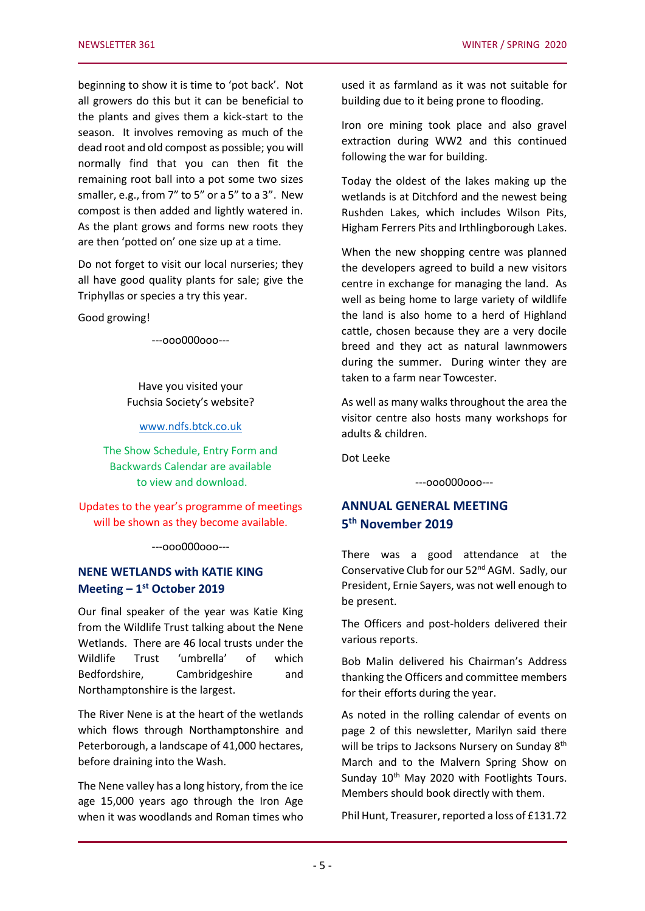beginning to show it is time to 'pot back'. Not all growers do this but it can be beneficial to the plants and gives them a kick-start to the season. It involves removing as much of the dead root and old compost as possible; you will normally find that you can then fit the remaining root ball into a pot some two sizes smaller, e.g., from 7" to 5" or a 5" to a 3". New compost is then added and lightly watered in. As the plant grows and forms new roots they are then 'potted on' one size up at a time.

Do not forget to visit our local nurseries; they all have good quality plants for sale; give the Triphyllas or species a try this year.

Good growing!

---ooo000ooo---

Have you visited your Fuchsia Society's website?

[www.ndfs.btck.co.uk](http://www.ndfs.btck.co.uk/)

The Show Schedule, Entry Form and Backwards Calendar are available to view and download.

Updates to the year's programme of meetings will be shown as they become available.

---ooo000ooo---

## **NENE WETLANDS with KATIE KING Meeting – 1 st October 2019**

Our final speaker of the year was Katie King from the Wildlife Trust talking about the Nene Wetlands. There are 46 local trusts under the Wildlife Trust 'umbrella' of which Bedfordshire, Cambridgeshire and Northamptonshire is the largest.

The River Nene is at the heart of the wetlands which flows through Northamptonshire and Peterborough, a landscape of 41,000 hectares, before draining into the Wash.

The Nene valley has a long history, from the ice age 15,000 years ago through the Iron Age when it was woodlands and Roman times who

used it as farmland as it was not suitable for building due to it being prone to flooding.

Iron ore mining took place and also gravel extraction during WW2 and this continued following the war for building.

Today the oldest of the lakes making up the wetlands is at Ditchford and the newest being Rushden Lakes, which includes Wilson Pits, Higham Ferrers Pits and Irthlingborough Lakes.

When the new shopping centre was planned the developers agreed to build a new visitors centre in exchange for managing the land. As well as being home to large variety of wildlife the land is also home to a herd of Highland cattle, chosen because they are a very docile breed and they act as natural lawnmowers during the summer. During winter they are taken to a farm near Towcester.

As well as many walks throughout the area the visitor centre also hosts many workshops for adults & children.

Dot Leeke

---ooo000ooo---

## **ANNUAL GENERAL MEETING 5 th November 2019**

There was a good attendance at the Conservative Club for our 52<sup>nd</sup> AGM. Sadly, our President, Ernie Sayers, was not well enough to be present.

The Officers and post-holders delivered their various reports.

Bob Malin delivered his Chairman's Address thanking the Officers and committee members for their efforts during the year.

As noted in the rolling calendar of events on page 2 of this newsletter, Marilyn said there will be trips to Jacksons Nursery on Sunday 8<sup>th</sup> March and to the Malvern Spring Show on Sunday 10<sup>th</sup> May 2020 with Footlights Tours. Members should book directly with them.

Phil Hunt, Treasurer, reported a loss of £131.72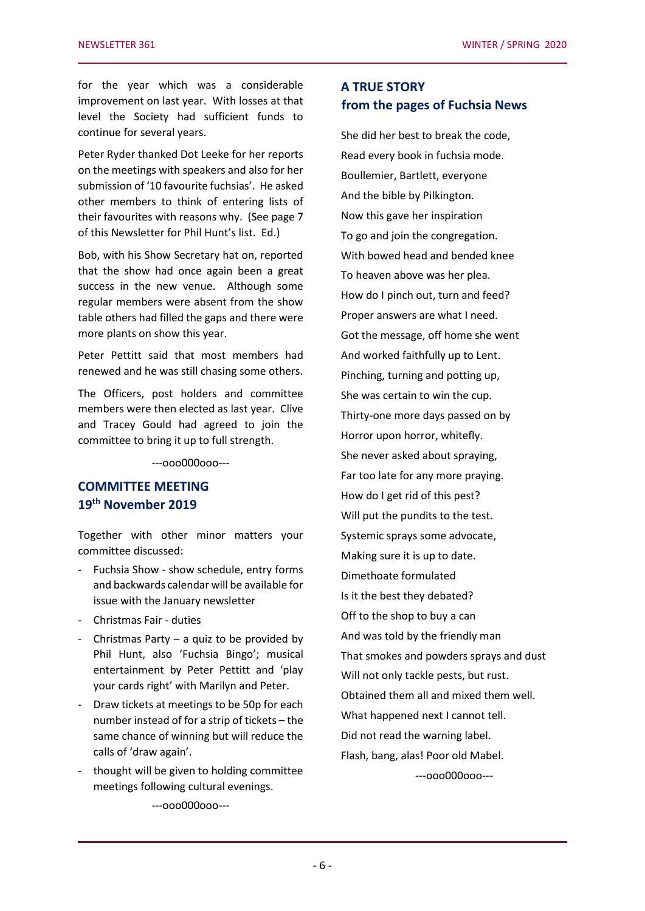for the year which was a considerable improvement on last year. With losses at that level the Society had sufficient funds to continue for several years.

Peter Ryder thanked Dot Leeke for her reports on the meetings with speakers and also for her submission of '10 favourite fuchsias'. He asked other members to think of entering lists of their favourites with reasons why. (See page 7 of this Newsletter for Phil Hunt's list. Ed.)

Bob, with his Show Secretary hat on, reported that the show had once again been a great success in the new venue. Although some regular members were absent from the show table others had filled the gaps and there were more plants on show this year.

Peter Pettitt said that most members had renewed and he was still chasing some others.

The Officers, post holders and committee members were then elected as last year. Clive and Tracey Gould had agreed to join the committee to bring it up to full strength.

---ooo000ooo---

## **COMMITTEE MEETING 19 th November 2019**

Together with other minor matters your committee discussed:

- Fuchsia Show show schedule, entry forms and backwards calendar will be available for issue with the January newsletter
- Christmas Fair duties
- Christmas Party a quiz to be provided by Phil Hunt, also 'Fuchsia Bingo'; musical entertainment by Peter Pettitt and 'play your cards right' with Marilyn and Peter.
- Draw tickets at meetings to be 50p for each number instead of for a strip of tickets – the same chance of winning but will reduce the calls of 'draw again'.
- thought will be given to holding committee meetings following cultural evenings.

**A TRUE STORY from the pages of Fuchsia News**

She did her best to break the code, Read every book in fuchsia mode. Boullemier, Bartlett, everyone And the bible by Pilkington. Now this gave her inspiration To go and join the congregation. With bowed head and bended knee To heaven above was her plea. How do I pinch out, turn and feed? Proper answers are what I need. Got the message, off home she went And worked faithfully up to Lent. Pinching, turning and potting up, She was certain to win the cup. Thirty-one more days passed on by Horror upon horror, whitefly. She never asked about spraying, Far too late for any more praying. How do I get rid of this pest? Will put the pundits to the test. Systemic sprays some advocate, Making sure it is up to date. Dimethoate formulated Is it the best they debated? Off to the shop to buy a can And was told by the friendly man That smokes and powders sprays and dust Will not only tackle pests, but rust. Obtained them all and mixed them well. What happened next I cannot tell. Did not read the warning label. Flash, bang, alas! Poor old Mabel.

---ooo000ooo---

---ooo000ooo---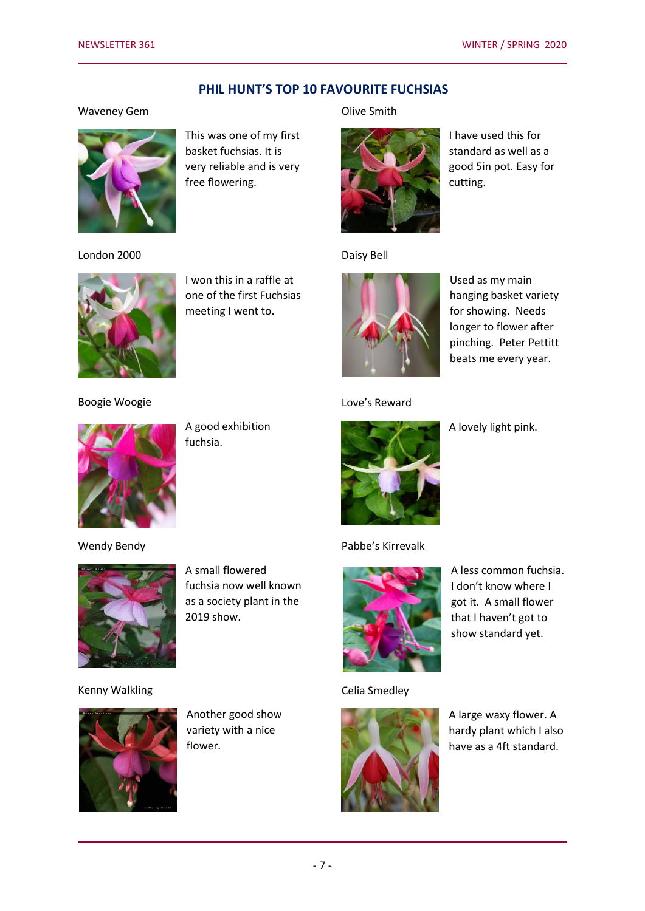#### **PHIL HUNT'S TOP 10 FAVOURITE FUCHSIAS**

#### Waveney Gem



This was one of my first basket fuchsias. It is very reliable and is very free flowering.

#### London 2000



I won this in a raffle at one of the first Fuchsias meeting I went to.

#### Olive Smith



I have used this for standard as well as a good 5in pot. Easy for cutting.

#### Daisy Bell



Used as my main hanging basket variety for showing. Needs longer to flower after pinching. Peter Pettitt beats me every year.

#### Love's Reward



A good exhibition fuchsia.



A lovely light pink.



Boogie Woogie

Wendy Bendy



Kenny Walkling

A small flowered fuchsia now well known as a society plant in the 2019 show.

Pabbe's Kirrevalk

A less common fuchsia. I don't know where I got it. A small flower that I haven't got to show standard yet.

Celia Smedley



A large waxy flower. A hardy plant which I also have as a 4ft standard.



Another good show variety with a nice flower.

- 7 -